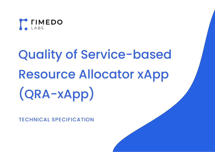

# Quality of Service-based Resource Allocator xApp (QRA-xApp)

TECHNICAL SPECIFICATION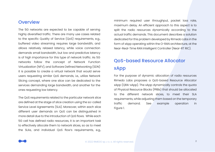#### **Overview**

The 5G networks are expected to be capable of serving highly diversified traffic. There are many use cases related to the specific Quality of Service (QoS) requirements, e.g., buffered video streaming requires large bandwidth, and allows relatively relaxed latency, while voice connection demands small bandwidth, but low and predictive latency is of high importance for this type of network traffic. As 5G networks follow the concept of Network Function Virtualization (NFV), and Software Defined Networking (SDN) it is possible to create a virtual network that would serve users requesting similar QoS demands, i.e., utilize Network Slicing concept, where one slice can be dedicated to the services demanding large bandwidth, and another for the ones requesting low latency.

The QoS requirements related to the particular network slice are defined at the stage of slice creation using the so-called Service Level Agreements (SLA). Moreover, within each slice different user demands on QoS can be distinguished in more detail due to the introduction of QoS flows. While each 5G cell has defined radio resources, it is an important task to effectively allocate them to network slices, so as to meet the SLAs, and individual QoS flow's requirements, e.g.,

minimum required user throughput, packet loss rate, maximum delay. An efficient approach to this aspect is to split the radio resources dynamically according to the actual traffic demands. This document describes a solution dedicated for this problem developed by Rimedo Labs in the form of xApp operating within the O-RAN architecture, at the Near-Real-Time RAN Intelligent Controller (Near-RT RIC).

# QoS-based Resource Allocator xApp

For the purpose of dynamic allocation of radio resources Rimedo Labs proposes a QoS-based Resource Allocator xApp (QRA-xApp). The xApp dynamically controls the quota of Physical Resource Blocks (PRBs) that should be allocated to the different network slices, to meet their SLA requirements, while adjusting them based on the temporary traffic demand. See example operation in [Figure 1.](#page-2-0)

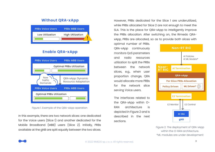#### **Without QRA-xApp**



#### **Enable QRA-xApp**



#### <span id="page-2-0"></span>Figure 1. Example of the QRA-xApp operation

In this example, there are two network slices: one dedicated for the Voice users (Slice 1) and another dedicated for the Mobile Broadband (MBB) users (Slice 2). Initially, PRBs available at the gNB are split equally between the two slices. However, PRBs dedicated for the Slice 1 are underutilized, while PRBs allocated for Slice 2 are not enough to meet the SLA. This is the place for QRA-xApp to intelligently improve the PRBs allocation. After switching on, the Rimedo QRAxApp, PRBs are allocated, so as to provide both slices with

optimal number of PRBs. QRA-xApp continuously monitors QoS parameters and radio resources utilization to split the PRBs between the network slices, e.g., when user proportion change, QRA would allocate more PRBs for the network slice serving Voice users.

The interfaces related to the QRA-xApp within O-RAN architecture is depicted in [Figure 2](#page-2-1) and is described in the next sections.



<span id="page-2-1"></span>Figure 2. The deployment of QRA-xApp within the O-RAN architecture. \*ML modules are under development

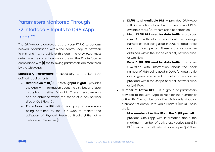# Parameters Monitored Through E2 Interface – Inputs to QRA xApp from E2

The QRA-xApp is deployed at the Near-RT RIC to perform network optimization within the control loop of between 10 ms, and 1 s. To achieve this goal, the QRA-xApp must determine the current network state via the E2 interface. In compliance wit[h \[1\],](#page-8-0) the following parameters are monitored by the QRA-xApp:

**Mandatory Parameters** – Necessary to monitor SLAdefined requirements

- **Distribution of DL/UL UE throughput in gNB** provides the xApp with information about the distribution of user throughput in either DL or UL. These measurements can be obtained within the scope of a cell, network slice or QoS Flow [\[2\].](#page-8-1)
- **Radio Resource Utilization** is a group of parameters being obtained by the QRA-xApp to monitor the utilization of Physical Resource Blocks (PRBs) at a certain cell. These are [\[2\]:](#page-8-1)
- o **DL/UL total available PRB** provides QRA-xApp with information about the total number of PRBs available for DL/UL transmission at certain cell
- o **Mean DL/UL PRB used for data traffic** provides QRA-xApp with information about the average number of PRBs being used in DL/UL for data traffic over a given period. These statistics can be obtained within the scope of a cell, network slice, or QoS flow.
- o **Peak DL/UL PRB used for data traffic** provides QRA-xApp with information about the peak number of PRBs being used in DL/UL for data traffic over a given time period. This information can be provided within the scope of a cell, network slice, or QoS Flow.
- **Number of Active UEs** is a group of parameters provided to the QRA-xApp to monitor the number of active UEs. The number of active UEs is understood as a number of active Data Radio Bearers (DRBs). These are [\[2\]:](#page-8-1) 
	- o **Max number of Active UEs in the DL/UL per cell** provides QRA-xApp with information about the maximum number of active UEs (active DRBs) in DL/UL, within the cell, network slice, or per QoS Flow.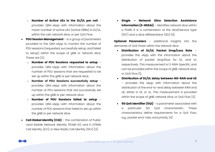- o **Number of Active UEs in the DL/UL per cell** provides QRA-xApp with information about the mean number of active UEs (active DRBs) in DL/UL, within the cell, network slice, or per QoS Flow.
- **PDU Session Management** is a group of parameters provided to the QRA-xApp to monitor the number of PDU sessions (requested, successfully setup, and failed to setup) within the scope of gNB or network slice. These are [\[2\]:](#page-8-1)
	- o **Number of PDU Sessions requested to setup** provides QRA-xApp with information about the number of PDU sessions that are requested to be set up within the gNB or per network slice.
	- o **Number of PDU Sessions successfully setup** provides QRA-xApp with information about the number of PDU sessions that are successfully set up within the gNB or per network slice.
	- o **Number of PDU Sessions failed to setup** provides QRA-xApp with information about the number of PDU sessions that failed to set up within the gNB or per network slice.
- **Cell Global Identity (CGI)** the combination of Public Land Mobile Network Identity (PLMN ID) and E-UTRAN Cell Identity (ECI) or New Radio Cell Identity (NCI) [\[3\].](#page-8-2)

• **Single – Network Slice Selection Assistance Information (S-NSSAI)** – identifies network slice within a PLMN. It is a combination of the slice/service type (SST) and a slice differentiator (SD) [\[4\].](#page-8-3)

**Optional Parameters** – additional insights into the demands of QoS Flows within the network slice

- **Distribution of DL/UL Packet Drop/Loss Rate** provides the xApp with the information about the distribution of packet drop/loss for DL, and UL respectively. This measurement is O-RAN-Specific, and can be provided within the scope of gNB, network slice, or QoS Flow [1].
- **Distribution of DL/UL delay between NG-RAN and UE** – provides the xApp with information about the distribution of the end-to-end delay between RAN and UE, either in DL or UL. This measurement is provided within the scope of gNB, network slice, or QoS Flow [\[2\].](#page-8-1)
- **5G QoS Identifier (5QI)** a parameter associated with a particular 5G QoS characteristic. These characteristics define requirements for a QoS Flow, e.g., packet error rate, and priority [\[4\].](#page-8-3)

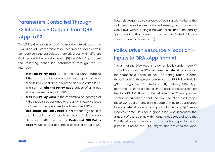# Parameters Controlled Through E2 Interface – Outputs from QRA xApp to E2

To fulfill QoS requirements of the mobile network users, the QRA-xApp adjusts the radio resources available for a certain cell between the associated network slices, with different QoS demands. In compliance wit[h \[5\],](#page-8-4) the QRA-xApp can set the following scheduler parameters through the E2 interface:

- **Min PRB Policy Ratio** is the minimal percentage of PRBs that must be guaranteed for a given network slice. It includes shared, prioritized and dedicated PRBs. The sum of **Min PRB Policy Ratio** values of all slices should be less or equal to 100.
- **Max PRB Policy Ratio** is the maximum percentage of PRBs that can be assigned to the given network slice. It includes shared, prioritized, and dedicated PRBs.
- **Dedicated PRB Policy Ratio** it is a percentage of PRBs that is dedicated for a given slice. It includes only dedicated PRBs. The sum of **Dedicated PRB Policy Ratio** values of all slices should be less or equal to 100.

Note: QRA-xApp is also capable of dealing with splitting the radio resources between different users, group of users or QoS Flows within a single network slice. This functionality goes beyond the current scope of the O-RAN Alliance specification as defined in [\[5\].](#page-8-4)

# Policy Driven Resource Allocation – Inputs to QRA xApp from A1

The aim of the QRA-xApp is to dynamically (under near-RT control loop) split the PRBs between the network slices within the scope of a particular cell. The configuration is done through setting the proper parameters of PRB Policy Ratio in gNB through the E2 interface. By default, QRA-xApp, performs PRB control actions on the basis of policies sent by the Non-RT RIC through the A1 interface. These policies contain information about the SLA. The xApp itself maps these SLA requirements on the quota of PRBs to be assigned to each network slice within a particular cell, e.g., QRA-xApp reserves some PRBs for a given slice, and increases the amount of shared PRBs within other slices. According to the O-RAN Alliance specification, the policy type for such purpose is called the "SLA Target", and provides the xApp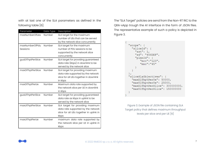with at last one of the SLA parameters as defined in the following table [\[6\]:](#page-8-5)

| Parameter         | Data Type | Description                             |
|-------------------|-----------|-----------------------------------------|
| maxNumberOfUes    | Number    | SLA target for the maximum              |
|                   |           | number of UEs that can be served        |
|                   |           | by the network slice concurrently       |
| maxNumberOfPdu    | Number    | SLA target for the maximum              |
| Sessions          |           | number of PDU sessions to be            |
|                   |           | supported by the network slice          |
|                   |           | concurrently                            |
| guaDIThptPerSlice | Number    | SLA target for providing guaranteed     |
|                   |           | data rate (kbps) in downlink to be      |
|                   |           | served by the network slice             |
| maxDIThptPerSlice | Number    | SLA target for providing maximum        |
|                   |           | data rate supported by the network      |
|                   |           | slice for all UEs together in downlink  |
|                   |           | in kbps                                 |
| maxDIThptPerUe    | Number    | Maximum data rate supported by          |
|                   |           | the network slice per UE in downlink    |
|                   |           | in kbps                                 |
| guaUlThptPerSlice | Number    | SLA target for providing guaranteed     |
|                   |           | data rate as kbps in uplink to be       |
|                   |           | served by the network slice             |
| maxUlThptPerSlice | Number    | SLA target for providing maximum        |
|                   |           | data rate supported by the network      |
|                   |           | slice for all UEs together in uplink in |
|                   |           | kbps                                    |
| maxUlThptPerUe    | Number    | maximum data rate supported by          |
|                   |           | the network slice per UE in uplink in   |
|                   |           | kbps                                    |

The "SLA Target" policies are send from the Non-RT RIC to the QRA-xApp trough the A1 interface in the form of JSON files. The representative example of such a policy is depicted in [Figure 3.](#page-6-0)

" $score"$ : { "sliceId": { "sst":  $1,$ "sd": "456DEF", "plmnId": { "mcc": "123", "mnc": "45"  $\mathcal{F}$  $\}$ , "sliceSlaObjectives": { "maxDlThptPerUe": 50000, "maxUlThptPerUe": 25000, "maxDlThptPerSlice": 300000000, "maxUlThptPerSlice": 150000000 -1

<span id="page-6-0"></span>Figure 3. Example of JSON file containing SLA Target policy that defines maximum throughput levels per slice and per UE [\[6\]](#page-8-5)

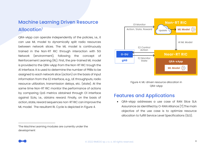# Machine Learning Driven Resource Allocation<sup>1</sup>

QRA-xApp can operate independently of the policies, i.e., it can use ML model to dynamically split radio resources between network slices. The ML model is continuously trained in the Non-RT RIC through interaction with 5G Network (environment), following the concept of Reinforcement Learning (RL). First, the pre-trained ML model is provided to the QRA-xApp from the Non-RT RIC trough the A1 interface. It is used to determine the number of PRBs to be assigned to each network slice (action) on the basis of input information from the E2 interface, e.g., UE throughputs, radio resource utilization, transmission delays, etc. (state). At the same time Non-RT RIC monitor the performance of actions by comparing QoS metrics obtained through O1 interface against SLAs, i.e., obtains reward. Finally, on the basis of action, state, reward sequences non-RT RIC can improve the ML model. The resultant RL Cycle is depicted in Figure 4.



Figure 4. ML-driven resource allocation in QRA-xApp

# Features and Applications

• QRA-xApp addresses a use case of RAN Slice SLA Assurance as identified by O-RAN Alliance [\[7\].T](#page-8-6)he main objective of the use case is to optimize resource allocation to fulfill Service Level Specifications (SLS).

<sup>1</sup>The Machine Learning modules are currently under the development

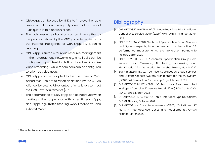- QRA-xApp can be used by MNOs to improve the radio resource utilization through dynamic adaptation of PRBs quota within network slices.
- The radio resource allocation can be driven either by the policies defined by the MNOs, or independently by the internal intelligence of QRA-xApp, i.e., Machine Learning
- QRA-xApp is suitable for radio resource management in the heterogenous networks, e.g., small cells can be configured to prioritize Mobile Broadband services (like video streaming), while macro cells can be configured to prioritize voice users.
- QRA-xApp can be adapted to the use-case of QoSbased resource optimization as defined by the O-RAN Alliance, by setting UE-oriented priority levels to meet the QoS Flow requirements [\[7\].](#page-8-6) 2
- <span id="page-8-7"></span>• The performance of QRA-xApp can be improved when working in the cooperation with other Rimedo xApps, and rApps e.g., Traffic Steering xApp, Frequency Band Selector rA[p](#page-8-7)p<sup>2</sup>

# **Bibliography**

- <span id="page-8-0"></span>[1] O-RAN.WG3.E2SM-KPM-v02.01, "Near-Real-time RAN Intelligent Controller E2 Service Model (E2SM) KPM", O-RAN Alliance, March 2022
- <span id="page-8-1"></span>[2] 3GPP TS 28.552 V17.6.0, "Technical Specification Group Services and System Aspects, Management and orchestration, 5G performance measurements", 3rd Generation Partnership Project, March 2022
- <span id="page-8-2"></span>[3] 3GPP TS 23.003 V17.5.0, "Technical Specification Group Core Network and Terminals, Numbering, addressing and identification", 3rd Generation Partnership Project, March 2022
- <span id="page-8-3"></span>[4] 3GPP TS 23.501 V17.4.0, "Technical Specification Group Services and System Aspects, System architecture for the 5G System (5GS)", 3rd Generation Partnership Project, March 2022
- <span id="page-8-4"></span>[5] O-RAN.WG3.E2SM-RC-v01.01, "O-RAN Near-Real-time RAN Intelligent Controller E2 Service Model (E2SM), RAN Control", O-RAN Alliance, March 2022
- <span id="page-8-5"></span>[6] O-RAN.WG2.A1TD-v02.00, "O-RAN A1 interface: Type Definitions", O-RAN Alliance, October 2021
- <span id="page-8-6"></span>[7] O-RAN.WG2.Use-Case-Requirements-v05.00, "O-RAN Non-RT RIC & A1 Interface: Use Cases and Requirements", O-RAN Alliance, March 2022

<sup>2</sup> These features are under development

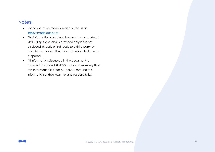### Notes:

- For cooperation models, reach out to us at: [info@rimedolabs.com](mailto:info@rimedolabs.com)
- The information contained herein is the property of RIMEDO sp. z o. o. and is provided only if it is not disclosed, directly or indirectly to a third party, or used for purposes other than those for which it was prepared.
- All information discussed in the document is provided "as is" and RIMEDO makes no warranty that this information is fit for purpose. Users use this information at their own risk and responsibility.